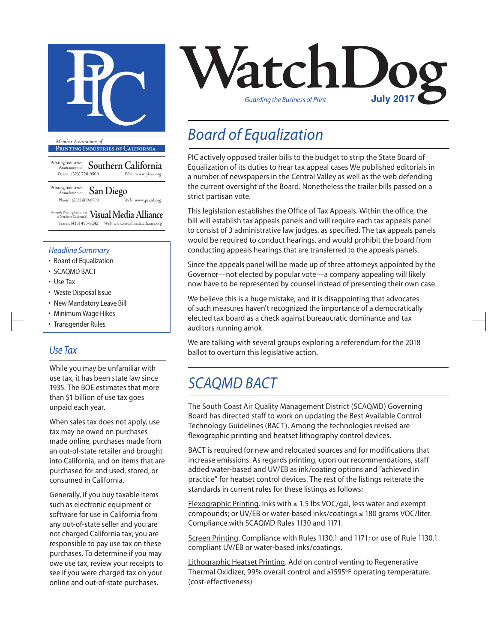

**Printing Industries of California**

Printing Industries Association of **Southern California** *Phone:* (323) 728-9500 *Web:* www.piasc.org

#### Printing Industries Association of **San Diego** *Phone: (858) 800-6900 Web:* www.piasd.org

(formerly Printing Industries of Northern California) **Visual Media Alliance** *Phone:* (415) 495-8242 *Web:* www.visualmediaalliance.org

#### *Headline Summary*

- Board of Equalization
- SCAQMD BACT
- Use Tax
- Waste Disposal Issue
- New Mandatory Leave Bill
- Minimum Wage Hikes
- Transgender Rules

### *Use Tax*

While you may be unfamiliar with use tax, it has been state law since 1935. The BOE estimates that more than \$1 billion of use tax goes unpaid each year.

When sales tax does not apply, use tax may be owed on purchases made online, purchases made from an out-of-state retailer and brought into California, and on items that are purchased for and used, stored, or consumed in California.

Generally, if you buy taxable items such as electronic equipment or software for use in California from any out-of-state seller and you are not charged California tax, you are responsible to pay use tax on these purchases. To determine if you may owe use tax, review your receipts to see if you were charged tax on your online and out-of-state purchases.



## *Board of Equalization*

PIC actively opposed trailer bills to the budget to strip the State Board of Equalization of its duties to hear tax appeal cases We published editorials in a number of newspapers in the Central Valley as well as the web defending the current oversight of the Board. Nonetheless the trailer bills passed on a strict partisan vote.

This legislation establishes the Office of Tax Appeals. Within the office, the bill will establish tax appeals panels and will require each tax appeals panel to consist of 3 administrative law judges, as specified. The tax appeals panels would be required to conduct hearings, and would prohibit the board from conducting appeals hearings that are transferred to the appeals panels.

Since the appeals panel will be made up of three attorneys appointed by the Governor—not elected by popular vote—a company appealing will likely now have to be represented by counsel instead of presenting their own case.

We believe this is a huge mistake, and it is disappointing that advocates of such measures haven't recognized the importance of a democratically elected tax board as a check against bureaucratic dominance and tax auditors running amok.

We are talking with several groups exploring a referendum for the 2018 ballot to overturn this legislative action.

### *SCAQMD BACT*

The South Coast Air Quality Management District (SCAQMD) Governing Board has directed staff to work on updating the Best Available Control Technology Guidelines (BACT). Among the technologies revised are flexographic printing and heatset lithography control devices.

BACT is required for new and relocated sources and for modifications that increase emissions. As regards printing, upon our recommendations, staff added water-based and UV/EB as ink/coating options and "achieved in practice" for heatset control devices. The rest of the listings reiterate the standards in current rules for these listings as follows:

Flexographic Printing. Inks with ≤ 1.5 lbs VOC/gal, less water and exempt compounds; or UV/EB or water-based inks/coatings ≤ 180 grams VOC/liter. Compliance with SCAQMD Rules 1130 and 1171.

Screen Printing. Compliance with Rules 1130.1 and 1171; or use of Rule 1130.1 compliant UV/EB or water-based inks/coatings.

Lithographic Heatset Printing. Add on control venting to Regenerative Thermal Oxidizer, 99% overall control and ≥1595°F operating temperature. (cost-effectiveness)